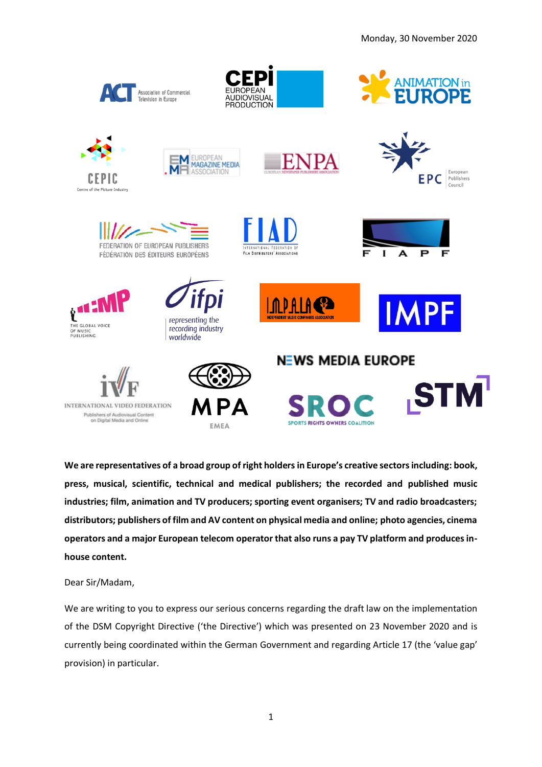

**We are representatives of a broad group of right holders in Europe's creative sectorsincluding: book, press, musical, scientific, technical and medical publishers; the recorded and published music industries; film, animation and TV producers; sporting event organisers; TV and radio broadcasters; distributors; publishers of film and AV content on physical media and online; photo agencies, cinema operators and a major European telecom operator that also runs a pay TV platform and produces inhouse content.** 

Dear Sir/Madam,

We are writing to you to express our serious concerns regarding the draft law on the implementation of the DSM Copyright Directive ('the Directive') which was presented on 23 November 2020 and is currently being coordinated within the German Government and regarding Article 17 (the 'value gap' provision) in particular.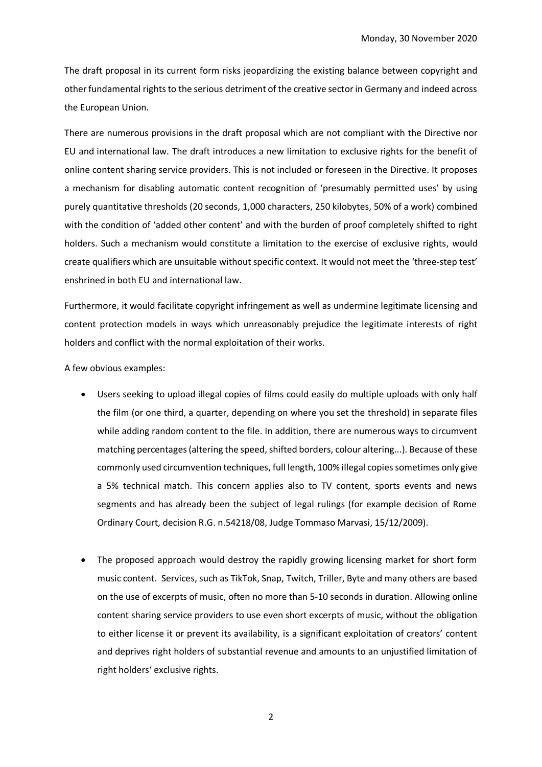The draft proposal in its current form risks jeopardizing the existing balance between copyright and other fundamental rights to the serious detriment of the creative sector in Germany and indeed across the European Union.

There are numerous provisions in the draft proposal which are not compliant with the Directive nor EU and international law. The draft introduces a new limitation to exclusive rights for the benefit of online content sharing service providers. This is not included or foreseen in the Directive. It proposes a mechanism for disabling automatic content recognition of 'presumably permitted uses' by using purely quantitative thresholds (20 seconds, 1,000 characters, 250 kilobytes, 50% of a work) combined with the condition of 'added other content' and with the burden of proof completely shifted to right holders. Such a mechanism would constitute a limitation to the exercise of exclusive rights, would create qualifiers which are unsuitable without specific context. It would not meet the 'three-step test' enshrined in both EU and international law.

Furthermore, it would facilitate copyright infringement as well as undermine legitimate licensing and content protection models in ways which unreasonably prejudice the legitimate interests of right holders and conflict with the normal exploitation of their works.

A few obvious examples:

- Users seeking to upload illegal copies of films could easily do multiple uploads with only half the film (or one third, a quarter, depending on where you set the threshold) in separate files while adding random content to the file. In addition, there are numerous ways to circumvent matching percentages (altering the speed, shifted borders, colour altering...). Because of these commonly used circumvention techniques, full length, 100% illegal copies sometimes only give a 5% technical match. This concern applies also to TV content, sports events and news segments and has already been the subject of legal rulings (for example decision of Rome Ordinary Court, decision R.G. n.54218/08, Judge Tommaso Marvasi, 15/12/2009).
- The proposed approach would destroy the rapidly growing licensing market for short form music content. Services, such as TikTok, Snap, Twitch, Triller, Byte and many others are based on the use of excerpts of music, often no more than 5-10 seconds in duration. Allowing online content sharing service providers to use even short excerpts of music, without the obligation to either license it or prevent its availability, is a significant exploitation of creators' content and deprives right holders of substantial revenue and amounts to an unjustified limitation of right holders' exclusive rights.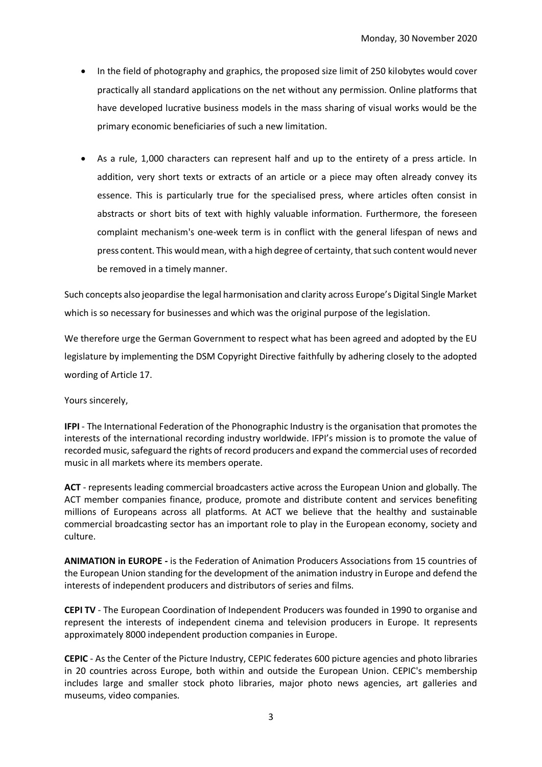- In the field of photography and graphics, the proposed size limit of 250 kilobytes would cover practically all standard applications on the net without any permission. Online platforms that have developed lucrative business models in the mass sharing of visual works would be the primary economic beneficiaries of such a new limitation.
- As a rule, 1,000 characters can represent half and up to the entirety of a press article. In addition, very short texts or extracts of an article or a piece may often already convey its essence. This is particularly true for the specialised press, where articles often consist in abstracts or short bits of text with highly valuable information. Furthermore, the foreseen complaint mechanism's one-week term is in conflict with the general lifespan of news and press content. This would mean, with a high degree of certainty, that such content would never be removed in a timely manner.

Such concepts also jeopardise the legal harmonisation and clarity across Europe's Digital Single Market which is so necessary for businesses and which was the original purpose of the legislation.

We therefore urge the German Government to respect what has been agreed and adopted by the EU legislature by implementing the DSM Copyright Directive faithfully by adhering closely to the adopted wording of Article 17.

Yours sincerely,

**IFPI** - The International Federation of the Phonographic Industry is the organisation that promotes the interests of the international recording industry worldwide. IFPI's mission is to promote the value of recorded music, safeguard the rights of record producers and expand the commercial uses of recorded music in all markets where its members operate.

**ACT** - represents leading commercial broadcasters active across the European Union and globally. The ACT member companies finance, produce, promote and distribute content and services benefiting millions of Europeans across all platforms. At ACT we believe that the healthy and sustainable commercial broadcasting sector has an important role to play in the European economy, society and culture.

**ANIMATION in EUROPE -** is the Federation of Animation Producers Associations from 15 countries of the European Union standing for the development of the animation industry in Europe and defend the interests of independent producers and distributors of series and films.

**CEPI TV** - The European Coordination of Independent Producers was founded in 1990 to organise and represent the interests of independent cinema and television producers in Europe. It represents approximately 8000 independent production companies in Europe.

**CEPIC** - As the Center of the Picture Industry, CEPIC federates 600 picture agencies and photo libraries in 20 countries across Europe, both within and outside the European Union. CEPIC's membership includes large and smaller stock photo libraries, major photo news agencies, art galleries and museums, video companies.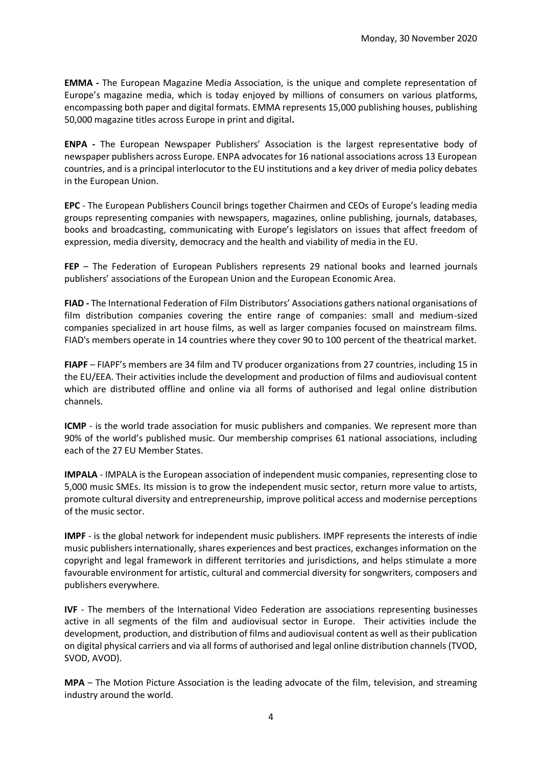**EMMA -** The European Magazine Media Association, is the unique and complete representation of Europe's magazine media, which is today enjoyed by millions of consumers on various platforms, encompassing both paper and digital formats. EMMA represents 15,000 publishing houses, publishing 50,000 magazine titles across Europe in print and digital**.** 

**ENPA -** The European Newspaper Publishers' Association is the largest representative body of newspaper publishers across Europe. ENPA advocates for 16 national associations across 13 European countries, and is a principal interlocutor to the EU institutions and a key driver of media policy debates in the European Union.

**EPC** - The European Publishers Council brings together Chairmen and CEOs of Europe's leading media groups representing companies with newspapers, magazines, online publishing, journals, databases, books and broadcasting, communicating with Europe's legislators on issues that affect freedom of expression, media diversity, democracy and the health and viability of media in the EU.

**FEP** – The Federation of European Publishers represents 29 national books and learned journals publishers' associations of the European Union and the European Economic Area.

**FIAD -** The International Federation of Film Distributors' Associations gathers national organisations of film distribution companies covering the entire range of companies: small and medium-sized companies specialized in art house films, as well as larger companies focused on mainstream films. FIAD's members operate in 14 countries where they cover 90 to 100 percent of the theatrical market.

**FIAPF** – FIAPF's members are 34 film and TV producer organizations from 27 countries, including 15 in the EU/EEA. Their activities include the development and production of films and audiovisual content which are distributed offline and online via all forms of authorised and legal online distribution channels.

**ICMP** - is the world trade association for music publishers and companies. We represent more than 90% of the world's published music. Our membership comprises 61 national associations, including each of the 27 EU Member States.

**IMPALA** - IMPALA is the European association of independent music companies, representing close to 5,000 music SMEs. Its mission is to grow the independent music sector, return more value to artists, promote cultural diversity and entrepreneurship, improve political access and modernise perceptions of the music sector.

**IMPF** - is the global network for independent music publishers. IMPF represents the interests of indie music publishers internationally, shares experiences and best practices, exchanges information on the copyright and legal framework in different territories and jurisdictions, and helps stimulate a more favourable environment for artistic, cultural and commercial diversity for songwriters, composers and publishers everywhere.

**IVF** - The members of the International Video Federation are associations representing businesses active in all segments of the film and audiovisual sector in Europe. Their activities include the development, production, and distribution of films and audiovisual content as well as their publication on digital physical carriers and via all forms of authorised and legal online distribution channels (TVOD, SVOD, AVOD).

**MPA** – The Motion Picture Association is the leading advocate of the film, television, and streaming industry around the world.